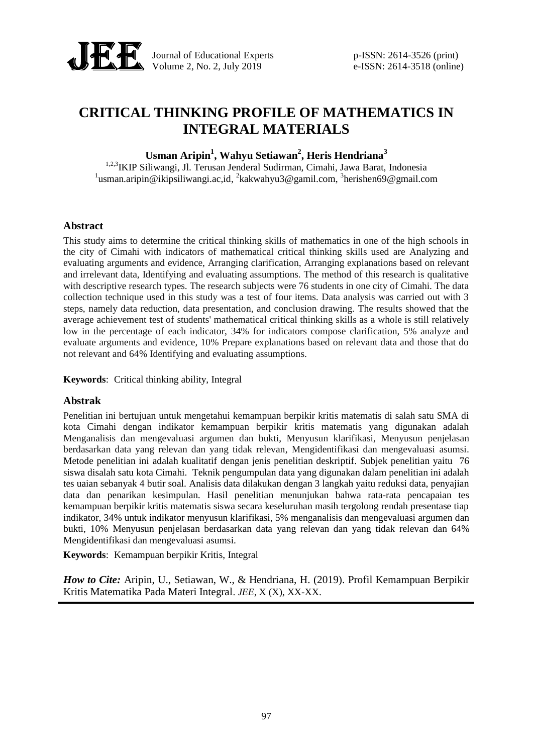

Journal of Educational Experts p-ISSN: 2614-3526 (print) Volume 2, No. 2, July 2019 e-ISSN: 2614-3518 (online)

# **CRITICAL THINKING PROFILE OF MATHEMATICS IN INTEGRAL MATERIALS**

**Usman Aripin<sup>1</sup> , Wahyu Setiawan<sup>2</sup> , Heris Hendriana<sup>3</sup>**

1,2,3IKIP Siliwangi, Jl. Terusan Jenderal Sudirman, Cimahi, Jawa Barat, Indonesia <sup>1</sup>[usman.aripin@ikipsiliwangi.ac,id,](mailto:usman.aripin@ikipsiliwangi.ac,id) <sup>2</sup>kakwahyu3@gamil.com, <sup>3</sup>herishen69@gmail.com

# **Abstract**

This study aims to determine the critical thinking skills of mathematics in one of the high schools in the city of Cimahi with indicators of mathematical critical thinking skills used are Analyzing and evaluating arguments and evidence, Arranging clarification, Arranging explanations based on relevant and irrelevant data, Identifying and evaluating assumptions. The method of this research is qualitative with descriptive research types. The research subjects were 76 students in one city of Cimahi. The data collection technique used in this study was a test of four items. Data analysis was carried out with 3 steps, namely data reduction, data presentation, and conclusion drawing. The results showed that the average achievement test of students' mathematical critical thinking skills as a whole is still relatively low in the percentage of each indicator, 34% for indicators compose clarification, 5% analyze and evaluate arguments and evidence, 10% Prepare explanations based on relevant data and those that do not relevant and 64% Identifying and evaluating assumptions.

**Keywords**: Critical thinking ability, Integral

# **Abstrak**

Penelitian ini bertujuan untuk mengetahui kemampuan berpikir kritis matematis di salah satu SMA di kota Cimahi dengan indikator kemampuan berpikir kritis matematis yang digunakan adalah Menganalisis dan mengevaluasi argumen dan bukti, Menyusun klarifikasi, Menyusun penjelasan berdasarkan data yang relevan dan yang tidak relevan, Mengidentifikasi dan mengevaluasi asumsi. Metode penelitian ini adalah kualitatif dengan jenis penelitian deskriptif. Subjek penelitian yaitu 76 siswa disalah satu kota Cimahi. Teknik pengumpulan data yang digunakan dalam penelitian ini adalah tes uaian sebanyak 4 butir soal. Analisis data dilakukan dengan 3 langkah yaitu reduksi data, penyajian data dan penarikan kesimpulan. Hasil penelitian menunjukan bahwa rata-rata pencapaian tes kemampuan berpikir kritis matematis siswa secara keseluruhan masih tergolong rendah presentase tiap indikator, 34% untuk indikator menyusun klarifikasi, 5% menganalisis dan mengevaluasi argumen dan bukti, 10% Menyusun penjelasan berdasarkan data yang relevan dan yang tidak relevan dan 64% Mengidentifikasi dan mengevaluasi asumsi.

**Keywords**: Kemampuan berpikir Kritis, Integral

*How to Cite:* Aripin, U., Setiawan, W., & Hendriana, H. (2019). Profil Kemampuan Berpikir Kritis Matematika Pada Materi Integral. *JEE*, X (X), XX-XX.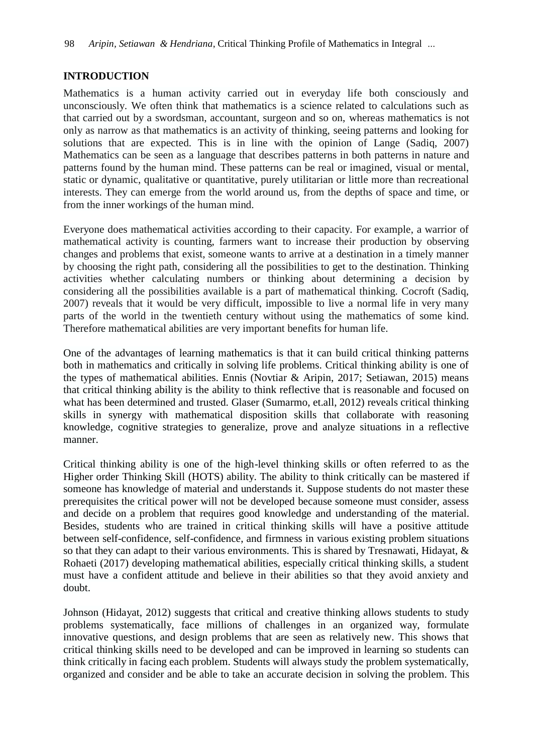# **INTRODUCTION**

Mathematics is a human activity carried out in everyday life both consciously and unconsciously. We often think that mathematics is a science related to calculations such as that carried out by a swordsman, accountant, surgeon and so on, whereas mathematics is not only as narrow as that mathematics is an activity of thinking, seeing patterns and looking for solutions that are expected. This is in line with the opinion of Lange (Sadiq, 2007) Mathematics can be seen as a language that describes patterns in both patterns in nature and patterns found by the human mind. These patterns can be real or imagined, visual or mental, static or dynamic, qualitative or quantitative, purely utilitarian or little more than recreational interests. They can emerge from the world around us, from the depths of space and time, or from the inner workings of the human mind.

Everyone does mathematical activities according to their capacity. For example, a warrior of mathematical activity is counting, farmers want to increase their production by observing changes and problems that exist, someone wants to arrive at a destination in a timely manner by choosing the right path, considering all the possibilities to get to the destination. Thinking activities whether calculating numbers or thinking about determining a decision by considering all the possibilities available is a part of mathematical thinking. Cocroft (Sadiq, 2007) reveals that it would be very difficult, impossible to live a normal life in very many parts of the world in the twentieth century without using the mathematics of some kind. Therefore mathematical abilities are very important benefits for human life.

One of the advantages of learning mathematics is that it can build critical thinking patterns both in mathematics and critically in solving life problems. Critical thinking ability is one of the types of mathematical abilities. Ennis (Novtiar & Aripin, 2017; Setiawan, 2015) means that critical thinking ability is the ability to think reflective that is reasonable and focused on what has been determined and trusted. Glaser (Sumarmo, et.all, 2012) reveals critical thinking skills in synergy with mathematical disposition skills that collaborate with reasoning knowledge, cognitive strategies to generalize, prove and analyze situations in a reflective manner.

Critical thinking ability is one of the high-level thinking skills or often referred to as the Higher order Thinking Skill (HOTS) ability. The ability to think critically can be mastered if someone has knowledge of material and understands it. Suppose students do not master these prerequisites the critical power will not be developed because someone must consider, assess and decide on a problem that requires good knowledge and understanding of the material. Besides, students who are trained in critical thinking skills will have a positive attitude between self-confidence, self-confidence, and firmness in various existing problem situations so that they can adapt to their various environments. This is shared by Tresnawati, Hidayat, & Rohaeti (2017) developing mathematical abilities, especially critical thinking skills, a student must have a confident attitude and believe in their abilities so that they avoid anxiety and doubt.

Johnson (Hidayat, 2012) suggests that critical and creative thinking allows students to study problems systematically, face millions of challenges in an organized way, formulate innovative questions, and design problems that are seen as relatively new. This shows that critical thinking skills need to be developed and can be improved in learning so students can think critically in facing each problem. Students will always study the problem systematically, organized and consider and be able to take an accurate decision in solving the problem. This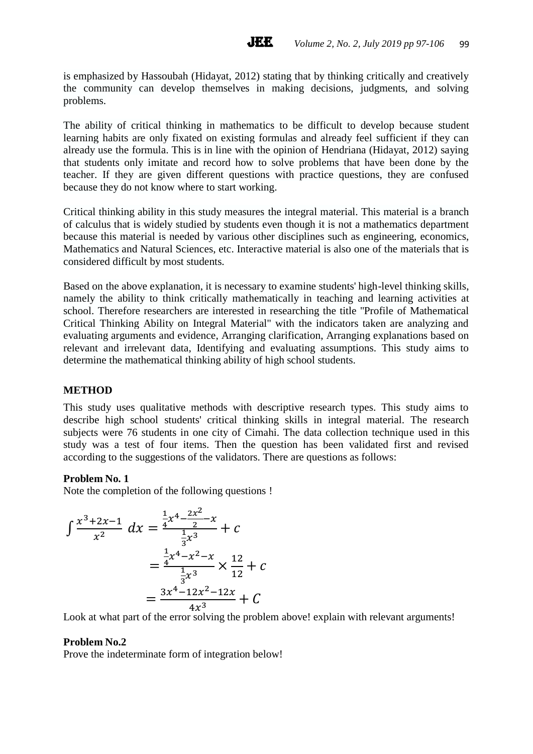is emphasized by Hassoubah (Hidayat, 2012) stating that by thinking critically and creatively the community can develop themselves in making decisions, judgments, and solving problems.

The ability of critical thinking in mathematics to be difficult to develop because student learning habits are only fixated on existing formulas and already feel sufficient if they can already use the formula. This is in line with the opinion of Hendriana (Hidayat, 2012) saying that students only imitate and record how to solve problems that have been done by the teacher. If they are given different questions with practice questions, they are confused because they do not know where to start working.

Critical thinking ability in this study measures the integral material. This material is a branch of calculus that is widely studied by students even though it is not a mathematics department because this material is needed by various other disciplines such as engineering, economics, Mathematics and Natural Sciences, etc. Interactive material is also one of the materials that is considered difficult by most students.

Based on the above explanation, it is necessary to examine students' high-level thinking skills, namely the ability to think critically mathematically in teaching and learning activities at school. Therefore researchers are interested in researching the title "Profile of Mathematical Critical Thinking Ability on Integral Material" with the indicators taken are analyzing and evaluating arguments and evidence, Arranging clarification, Arranging explanations based on relevant and irrelevant data, Identifying and evaluating assumptions. This study aims to determine the mathematical thinking ability of high school students.

#### **METHOD**

This study uses qualitative methods with descriptive research types. This study aims to describe high school students' critical thinking skills in integral material. The research subjects were 76 students in one city of Cimahi. The data collection technique used in this study was a test of four items. Then the question has been validated first and revised according to the suggestions of the validators. There are questions as follows:

#### **Problem No. 1**

Note the completion of the following questions !

$$
\int \frac{x^3 + 2x - 1}{x^2} dx = \frac{\frac{1}{4}x^4 - \frac{2x^2}{2} - x}{\frac{1}{3}x^3} + c
$$
  

$$
= \frac{\frac{1}{4}x^4 - x^2 - x}{\frac{1}{3}x^3} \times \frac{12}{12} + c
$$
  

$$
= \frac{3x^4 - 12x^2 - 12x}{4x^3} + C
$$

Look at what part of the error solving the problem above! explain with relevant arguments!

#### **Problem No.2**

Prove the indeterminate form of integration below!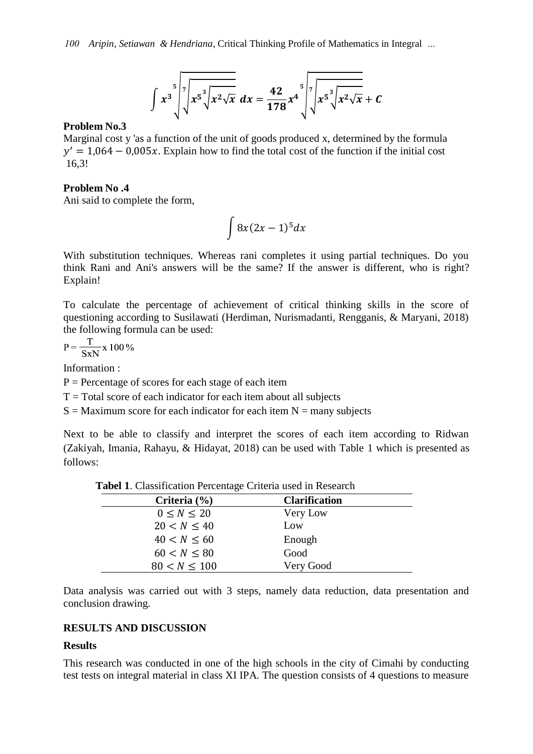$$
\int x^3 \sqrt[5]{\sqrt[5]{x^5 \sqrt[3]{x^2 \sqrt{x}}}} dx = \frac{42}{178} x^4 \sqrt[5]{\sqrt[5]{x^5 \sqrt[3]{x^2 \sqrt{x}}}} + C
$$

## **Problem No.3**

Marginal cost y 'as a function of the unit of goods produced x, determined by the formula  $y' = 1.064 - 0.005x$ . Explain how to find the total cost of the function if the initial cost 16,3!

#### **Problem No .4**

Ani said to complete the form,

$$
\int 8x(2x-1)^5 dx
$$

With substitution techniques. Whereas rani completes it using partial techniques. Do you think Rani and Ani's answers will be the same? If the answer is different, who is right? Explain!

To calculate the percentage of achievement of critical thinking skills in the score of questioning according to Susilawati (Herdiman, Nurismadanti, Rengganis, & Maryani, 2018) the following formula can be used:

$$
P = \frac{T}{SxN}x 100\%
$$

Information :

 $P =$  Percentage of scores for each stage of each item

 $T = Total score of each indicator for each item about all subjects$ 

 $S =$  Maximum score for each indicator for each item  $N =$  many subjects

Next to be able to classify and interpret the scores of each item according to Ridwan (Zakiyah, Imania, Rahayu, & Hidayat, 2018) can be used with Table 1 which is presented as follows:

**Tabel 1**. Classification Percentage Criteria used in Research

| Criteria $(\% )$  | <b>Clarification</b> |
|-------------------|----------------------|
| $0 \le N \le 20$  | Very Low             |
| $20 < N \leq 40$  | Low                  |
| 40 < N < 60       | Enough               |
| 60 < N < 80       | Good                 |
| $80 < N \leq 100$ | Very Good            |

Data analysis was carried out with 3 steps, namely data reduction, data presentation and conclusion drawing.

### **RESULTS AND DISCUSSION**

#### **Results**

This research was conducted in one of the high schools in the city of Cimahi by conducting test tests on integral material in class XI IPA. The question consists of 4 questions to measure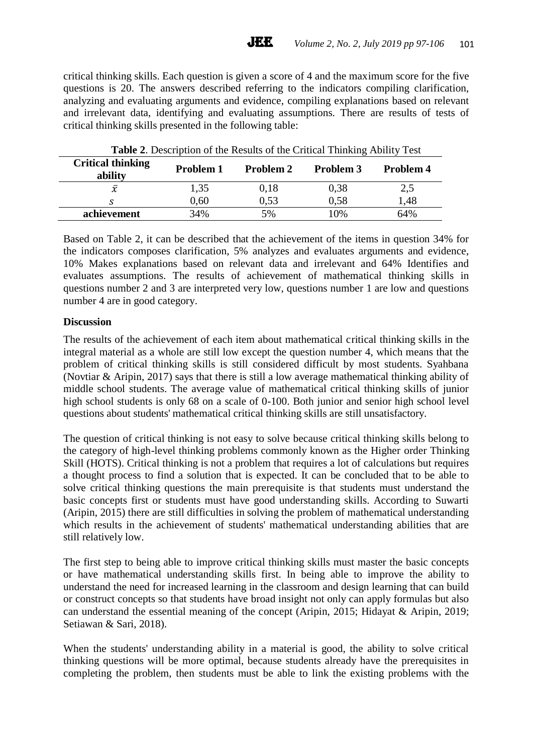critical thinking skills. Each question is given a score of 4 and the maximum score for the five questions is 20. The answers described referring to the indicators compiling clarification, analyzing and evaluating arguments and evidence, compiling explanations based on relevant and irrelevant data, identifying and evaluating assumptions. There are results of tests of critical thinking skills presented in the following table:

| <b>Table 2.</b> Description of the Results of the Critical Thinking Ability Test |           |                  |                  |           |
|----------------------------------------------------------------------------------|-----------|------------------|------------------|-----------|
| <b>Critical thinking</b><br>ability                                              | Problem 1 | <b>Problem 2</b> | <b>Problem 3</b> | Problem 4 |
| $\bar{x}$                                                                        | 1,35      | 0.18             | 0,38             | 2,5       |
|                                                                                  | 0,60      | 0.53             | 0,58             | 1.48      |
| achievement                                                                      | 34%       | 5%               | 10%              | 64%       |

Based on Table 2, it can be described that the achievement of the items in question 34% for the indicators composes clarification, 5% analyzes and evaluates arguments and evidence, 10% Makes explanations based on relevant data and irrelevant and 64% Identifies and evaluates assumptions. The results of achievement of mathematical thinking skills in questions number 2 and 3 are interpreted very low, questions number 1 are low and questions number 4 are in good category.

# **Discussion**

The results of the achievement of each item about mathematical critical thinking skills in the integral material as a whole are still low except the question number 4, which means that the problem of critical thinking skills is still considered difficult by most students. Syahbana (Novtiar & Aripin, 2017) says that there is still a low average mathematical thinking ability of middle school students. The average value of mathematical critical thinking skills of junior high school students is only 68 on a scale of 0-100. Both junior and senior high school level questions about students' mathematical critical thinking skills are still unsatisfactory.

The question of critical thinking is not easy to solve because critical thinking skills belong to the category of high-level thinking problems commonly known as the Higher order Thinking Skill (HOTS). Critical thinking is not a problem that requires a lot of calculations but requires a thought process to find a solution that is expected. It can be concluded that to be able to solve critical thinking questions the main prerequisite is that students must understand the basic concepts first or students must have good understanding skills. According to Suwarti (Aripin, 2015) there are still difficulties in solving the problem of mathematical understanding which results in the achievement of students' mathematical understanding abilities that are still relatively low.

The first step to being able to improve critical thinking skills must master the basic concepts or have mathematical understanding skills first. In being able to improve the ability to understand the need for increased learning in the classroom and design learning that can build or construct concepts so that students have broad insight not only can apply formulas but also can understand the essential meaning of the concept (Aripin, 2015; Hidayat & Aripin, 2019; Setiawan & Sari, 2018).

When the students' understanding ability in a material is good, the ability to solve critical thinking questions will be more optimal, because students already have the prerequisites in completing the problem, then students must be able to link the existing problems with the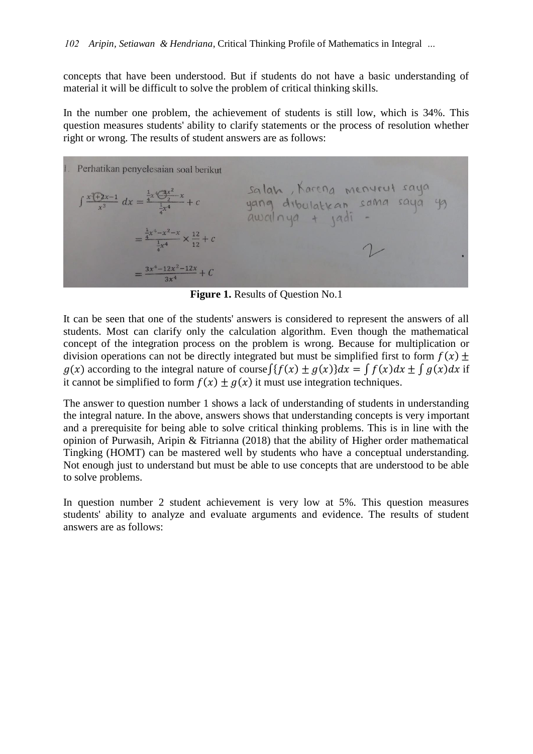concepts that have been understood. But if students do not have a basic understanding of material it will be difficult to solve the problem of critical thinking skills.

In the number one problem, the achievement of students is still low, which is 34%. This question measures students' ability to clarify statements or the process of resolution whether right or wrong. The results of student answers are as follows:

**Figure 1.** Results of Question No.1

It can be seen that one of the students' answers is considered to represent the answers of all students. Most can clarify only the calculation algorithm. Even though the mathematical concept of the integration process on the problem is wrong. Because for multiplication or division operations can not be directly integrated but must be simplified first to form  $f(x) \pm$  $g(x)$  according to the integral nature of course  $\int$ { $f(x) + g(x) dx = \int f(x) dx + \int g(x) dx$  if it cannot be simplified to form  $f(x) + g(x)$  it must use integration techniques.

The answer to question number 1 shows a lack of understanding of students in understanding the integral nature. In the above, answers shows that understanding concepts is very important and a prerequisite for being able to solve critical thinking problems. This is in line with the opinion of Purwasih, Aripin & Fitrianna (2018) that the ability of Higher order mathematical Tingking (HOMT) can be mastered well by students who have a conceptual understanding. Not enough just to understand but must be able to use concepts that are understood to be able to solve problems.

In question number 2 student achievement is very low at 5%. This question measures students' ability to analyze and evaluate arguments and evidence. The results of student answers are as follows: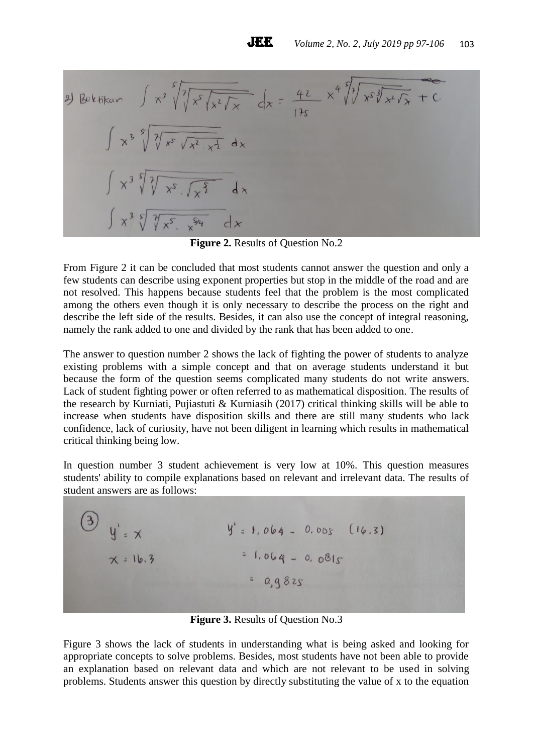$\frac{1}{2}$  Buktikan  $\int x^3 \sqrt[5]{\sqrt[3]{x^5}/x^2 \sqrt[3]{x}} dx$  $x^{4}$  /  $\sqrt[3]{x^{3}x^{2}+1} + C$  $42$  $z_{\rm v}$ 

**JEE** 

**Figure 2.** Results of Question No.2

From Figure 2 it can be concluded that most students cannot answer the question and only a few students can describe using exponent properties but stop in the middle of the road and are not resolved. This happens because students feel that the problem is the most complicated among the others even though it is only necessary to describe the process on the right and describe the left side of the results. Besides, it can also use the concept of integral reasoning, namely the rank added to one and divided by the rank that has been added to one.

The answer to question number 2 shows the lack of fighting the power of students to analyze existing problems with a simple concept and that on average students understand it but because the form of the question seems complicated many students do not write answers. Lack of student fighting power or often referred to as mathematical disposition. The results of the research by Kurniati, Pujiastuti & Kurniasih (2017) critical thinking skills will be able to increase when students have disposition skills and there are still many students who lack confidence, lack of curiosity, have not been diligent in learning which results in mathematical critical thinking being low.

In question number 3 student achievement is very low at 10%. This question measures students' ability to compile explanations based on relevant and irrelevant data. The results of student answers are as follows:

| $\begin{pmatrix} 3 \\ 4 \end{pmatrix}$ $y' = x$ | $Y = 1, 064 - 0.005$ (16.3) |
|-------------------------------------------------|-----------------------------|
| $X = 16.3$                                      | $= 1.064 - 0.081s$          |
|                                                 | = $0.9825$                  |
|                                                 |                             |

**Figure 3.** Results of Question No.3

Figure 3 shows the lack of students in understanding what is being asked and looking for appropriate concepts to solve problems. Besides, most students have not been able to provide an explanation based on relevant data and which are not relevant to be used in solving problems. Students answer this question by directly substituting the value of x to the equation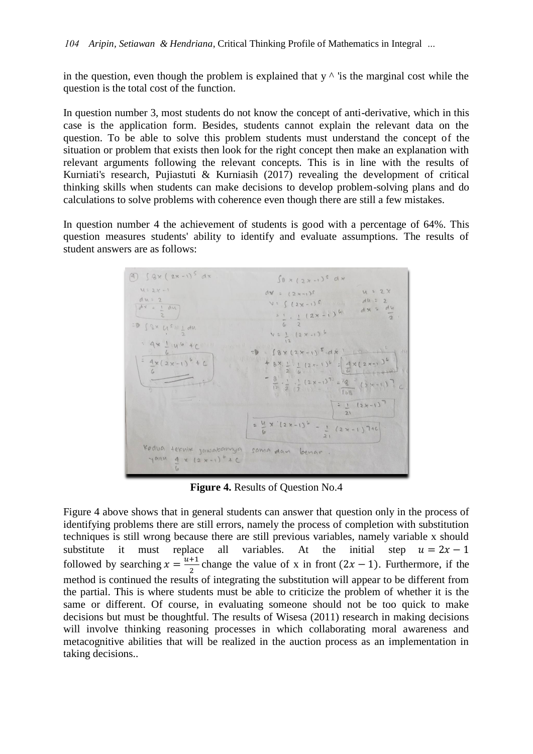in the question, even though the problem is explained that  $y \wedge$  'is the marginal cost while the question is the total cost of the function.

In question number 3, most students do not know the concept of anti-derivative, which in this case is the application form. Besides, students cannot explain the relevant data on the question. To be able to solve this problem students must understand the concept of the situation or problem that exists then look for the right concept then make an explanation with relevant arguments following the relevant concepts. This is in line with the results of Kurniati's research, Pujiastuti & Kurniasih (2017) revealing the development of critical thinking skills when students can make decisions to develop problem-solving plans and do calculations to solve problems with coherence even though there are still a few mistakes.

In question number 4 the achievement of students is good with a percentage of 64%. This question measures students' ability to identify and evaluate assumptions. The results of student answers are as follows:

 $4)$   $(4x (2x - 1)^5 dx$  $9x(2x-1)^{s}$  d Kedua teknik juwabannya sama dan benar  $4 \times (2 \times -1)^6$  +

**Figure 4.** Results of Question No.4

Figure 4 above shows that in general students can answer that question only in the process of identifying problems there are still errors, namely the process of completion with substitution techniques is still wrong because there are still previous variables, namely variable x should substitute it must replace all variables. At the initial step  $u = 2x - 1$ followed by searching  $x = \frac{u}{x}$  $\frac{+1}{2}$  change the value of x in front  $(2x - 1)$ . Furthermore, if the method is continued the results of integrating the substitution will appear to be different from the partial. This is where students must be able to criticize the problem of whether it is the same or different. Of course, in evaluating someone should not be too quick to make decisions but must be thoughtful. The results of Wisesa (2011) research in making decisions will involve thinking reasoning processes in which collaborating moral awareness and metacognitive abilities that will be realized in the auction process as an implementation in taking decisions..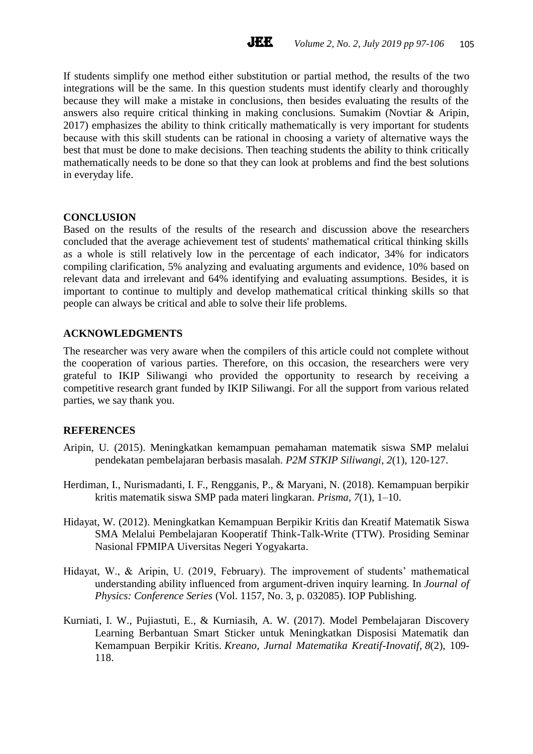105

If students simplify one method either substitution or partial method, the results of the two integrations will be the same. In this question students must identify clearly and thoroughly because they will make a mistake in conclusions, then besides evaluating the results of the answers also require critical thinking in making conclusions. Sumakim (Novtiar & Aripin, 2017) emphasizes the ability to think critically mathematically is very important for students because with this skill students can be rational in choosing a variety of alternative ways the best that must be done to make decisions. Then teaching students the ability to think critically mathematically needs to be done so that they can look at problems and find the best solutions in everyday life.

**JEE** 

# **CONCLUSION**

Based on the results of the results of the research and discussion above the researchers concluded that the average achievement test of students' mathematical critical thinking skills as a whole is still relatively low in the percentage of each indicator, 34% for indicators compiling clarification, 5% analyzing and evaluating arguments and evidence, 10% based on relevant data and irrelevant and 64% identifying and evaluating assumptions. Besides, it is important to continue to multiply and develop mathematical critical thinking skills so that people can always be critical and able to solve their life problems.

#### **ACKNOWLEDGMENTS**

The researcher was very aware when the compilers of this article could not complete without the cooperation of various parties. Therefore, on this occasion, the researchers were very grateful to IKIP Siliwangi who provided the opportunity to research by receiving a competitive research grant funded by IKIP Siliwangi. For all the support from various related parties, we say thank you.

#### **REFERENCES**

- Aripin, U. (2015). Meningkatkan kemampuan pemahaman matematik siswa SMP melalui pendekatan pembelajaran berbasis masalah. *P2M STKIP Siliwangi*, *2*(1), 120-127.
- Herdiman, I., Nurismadanti, I. F., Rengganis, P., & Maryani, N. (2018). Kemampuan berpikir kritis matematik siswa SMP pada materi lingkaran. *Prisma*, *7*(1), 1–10.
- Hidayat, W. (2012). Meningkatkan Kemampuan Berpikir Kritis dan Kreatif Matematik Siswa SMA Melalui Pembelajaran Kooperatif Think-Talk-Write (TTW). Prosiding Seminar Nasional FPMIPA Uiversitas Negeri Yogyakarta.
- Hidayat, W., & Aripin, U. (2019, February). The improvement of students' mathematical understanding ability influenced from argument-driven inquiry learning. In *Journal of Physics: Conference Series* (Vol. 1157, No. 3, p. 032085). IOP Publishing.
- Kurniati, I. W., Pujiastuti, E., & Kurniasih, A. W. (2017). Model Pembelajaran Discovery Learning Berbantuan Smart Sticker untuk Meningkatkan Disposisi Matematik dan Kemampuan Berpikir Kritis. *Kreano, Jurnal Matematika Kreatif-Inovatif*, *8*(2), 109- 118.